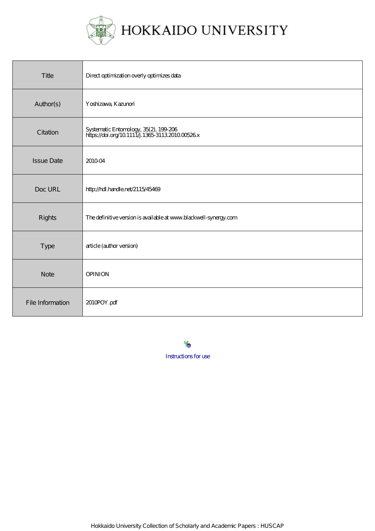

| Title             | Direct optimization overly optimizes data                                                 |
|-------------------|-------------------------------------------------------------------------------------------|
| Author(s)         | Yoshizawa, Kazunori                                                                       |
| Citation          | Systematic Entomology, 35(2), 199-206<br>https://doi.org/10.1111.j.1365-3113.2010.00526.x |
| <b>Issue Date</b> | 201004                                                                                    |
| Doc URL           | http://hdl.handle.net/2115/45469                                                          |
| <b>Rights</b>     | The definitive version is available at www.blackwell-synergy.com                          |
| Type              | article (author version)                                                                  |
| <b>Note</b>       | <b>OPINION</b>                                                                            |
| File Information  | 2010POY.pdf                                                                               |

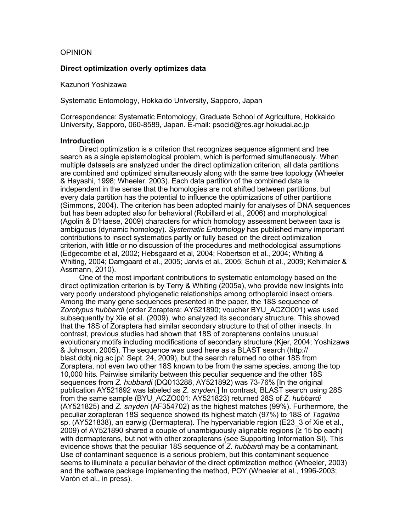#### OPINION

#### **Direct optimization overly optimizes data**

Kazunori Yoshizawa

Systematic Entomology, Hokkaido University, Sapporo, Japan

Correspondence: Systematic Entomology, Graduate School of Agriculture, Hokkaido University, Sapporo, 060-8589, Japan. E-mail: psocid@res.agr.hokudai.ac.jp

#### **Introduction**

Direct optimization is a criterion that recognizes sequence alignment and tree search as a single epistemological problem, which is performed simultaneously. When multiple datasets are analyzed under the direct optimization criterion, all data partitions are combined and optimized simultaneously along with the same tree topology (Wheeler & Hayashi, 1998; Wheeler, 2003). Each data partition of the combined data is independent in the sense that the homologies are not shifted between partitions, but every data partition has the potential to influence the optimizations of other partitions (Simmons, 2004). The criterion has been adopted mainly for analyses of DNA sequences but has been adopted also for behavioral (Robillard et al., 2006) and morphological (Agolin & D'Haese, 2009) characters for which homology assessment between taxa is ambiguous (dynamic homology). *Systematic Entomology* has published many important contributions to insect systematics partly or fully based on the direct optimization criterion, with little or no discussion of the procedures and methodological assumptions (Edgecombe et al, 2002; Hebsgaard et al, 2004; Robertson et al., 2004; Whiting & Whiting, 2004; Damgaard et al., 2005; Jarvis et al., 2005; Schuh et al., 2009; Kehlmaier & Assmann, 2010).

One of the most important contributions to systematic entomology based on the direct optimization criterion is by Terry & Whiting (2005a), who provide new insights into very poorly understood phylogenetic relationships among orthopteroid insect orders. Among the many gene sequences presented in the paper, the 18S sequence of *Zorotypus hubbardi* (order Zoraptera: AY521890; voucher BYU\_ACZO001) was used subsequently by Xie et al. (2009), who analyzed its secondary structure. This showed that the 18S of Zoraptera had similar secondary structure to that of other insects. In contrast, previous studies had shown that 18S of zorapterans contains unusual evolutionary motifs including modifications of secondary structure (Kjer, 2004; Yoshizawa & Johnson, 2005). The sequence was used here as a BLAST search (http:// blast.ddbj.nig.ac.jp/: Sept. 24, 2009), but the search returned no other 18S from Zoraptera, not even two other 18S known to be from the same species, among the top 10,000 hits*.* Pairwise similarity between this peculiar sequence and the other 18S sequences from *Z. hubbardi* (DQ013288, AY521892) was 73-76% [In the original publication AY521892 was labeled as *Z. snyderi.*] In contrast, BLAST search using 28S from the same sample (BYU\_ACZO001: AY521823) returned 28S of *Z. hubbardi* (AY521825) and *Z. snyderi* (AF354702) as the highest matches (99%). Furthermore, the peculiar zorapteran 18S sequence showed its highest match (97%) to 18S of *Tagalina*  sp. (AY521838), an earwig (Dermaptera). The hypervariable region (E23\_3 of Xie et al., 2009) of AY521890 shared a couple of unambiguously alignable regions (≥ 15 bp each) with dermapterans, but not with other zorapterans (see Supporting Information SI). This evidence shows that the peculiar 18S sequence of *Z. hubbardi* may be a contaminant. Use of contaminant sequence is a serious problem, but this contaminant sequence seems to illuminate a peculiar behavior of the direct optimization method (Wheeler, 2003) and the software package implementing the method, POY (Wheeler et al., 1996-2003; Varón et al., in press).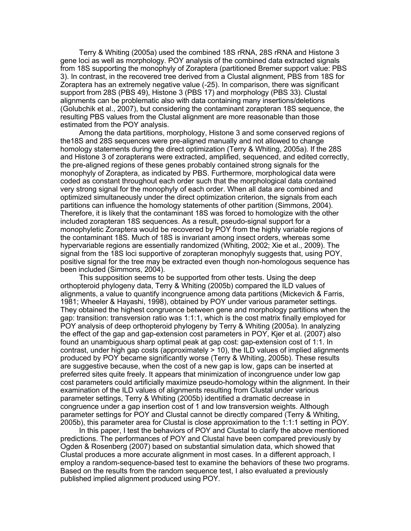Terry & Whiting (2005a) used the combined 18S rRNA, 28S rRNA and Histone 3 gene loci as well as morphology. POY analysis of the combined data extracted signals from 18S supporting the monophyly of Zoraptera (partitioned Bremer support value: PBS 3). In contrast, in the recovered tree derived from a Clustal alignment, PBS from 18S for Zoraptera has an extremely negative value (-25). In comparison, there was significant support from 28S (PBS 49), Histone 3 (PBS 17) and morphology (PBS 33). Clustal alignments can be problematic also with data containing many insertions/deletions (Golubchik et al., 2007), but considering the contaminant zorapteran 18S sequence, the resulting PBS values from the Clustal alignment are more reasonable than those estimated from the POY analysis.

Among the data partitions, morphology, Histone 3 and some conserved regions of the18S and 28S sequences were pre-aligned manually and not allowed to change homology statements during the direct optimization (Terry & Whiting, 2005a). If the 28S and Histone 3 of zorapterans were extracted, amplified, sequenced, and edited correctly, the pre-aligned regions of these genes probably contained strong signals for the monophyly of Zoraptera, as indicated by PBS. Furthermore, morphological data were coded as constant throughout each order such that the morphological data contained very strong signal for the monophyly of each order. When all data are combined and optimized simultaneously under the direct optimization criterion, the signals from each partitions can influence the homology statements of other partition (Simmons, 2004). Therefore, it is likely that the contaminant 18S was forced to homologize with the other included zorapteran 18S sequences. As a result, pseudo-signal support for a monophyletic Zoraptera would be recovered by POY from the highly variable regions of the contaminant 18S. Much of 18S is invariant among insect orders, whereas some hypervariable regions are essentially randomized (Whiting, 2002; Xie et al., 2009). The signal from the 18S loci supportive of zorapteran monophyly suggests that, using POY, positive signal for the tree may be extracted even though non-homologous sequence has been included (Simmons, 2004).

This supposition seems to be supported from other tests. Using the deep orthopteroid phylogeny data, Terry & Whiting (2005b) compared the ILD values of alignments, a value to quantify incongruence among data partitions (Mickevich & Farris, 1981; Wheeler & Hayashi, 1998), obtained by POY under various parameter settings. They obtained the highest congruence between gene and morphology partitions when the gap: transition: transversion ratio was 1:1:1, which is the cost matrix finally employed for POY analysis of deep orthopteroid phylogeny by Terry & Whiting (2005a). In analyzing the effect of the gap and gap-extension cost parameters in POY, Kjer et al. (2007) also found an unambiguous sharp optimal peak at gap cost: gap-extension cost of 1:1. In contrast, under high gap costs (approximately > 10), the ILD values of implied alignments produced by POY became significantly worse (Terry & Whiting, 2005b). These results are suggestive because, when the cost of a new gap is low, gaps can be inserted at preferred sites quite freely. It appears that minimization of incongruence under low gap cost parameters could artificially maximize pseudo-homology within the alignment. In their examination of the ILD values of alignments resulting from Clustal under various parameter settings, Terry & Whiting (2005b) identified a dramatic decrease in congruence under a gap insertion cost of 1 and low transversion weights. Although parameter settings for POY and Clustal cannot be directly compared (Terry & Whiting, 2005b), this parameter area for Clustal is close approximation to the 1:1:1 setting in POY.

In this paper, I test the behaviors of POY and Clustal to clarify the above mentioned predictions. The performances of POY and Clustal have been compared previously by Ogden & Rosenberg (2007) based on substantial simulation data, which showed that Clustal produces a more accurate alignment in most cases. In a different approach, I employ a random-sequence-based test to examine the behaviors of these two programs. Based on the results from the random sequence test, I also evaluated a previously published implied alignment produced using POY.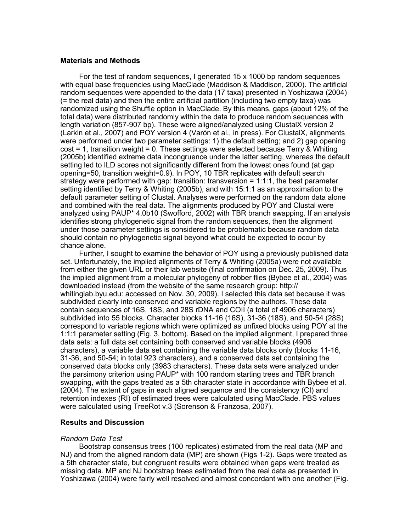#### **Materials and Methods**

For the test of random sequences, I generated 15 x 1000 bp random sequences with equal base frequencies using MacClade (Maddison & Maddison, 2000). The artificial random sequences were appended to the data (17 taxa) presented in Yoshizawa (2004) (= the real data) and then the entire artificial partition (including two empty taxa) was randomized using the Shuffle option in MacClade. By this means, gaps (about 12% of the total data) were distributed randomly within the data to produce random sequences with length variation (857-907 bp). These were aligned/analyzed using ClustalX version 2 (Larkin et al., 2007) and POY version 4 (Varón et al., in press). For ClustalX, alignments were performed under two parameter settings: 1) the default setting; and 2) gap opening cost = 1, transition weight = 0. These settings were selected because Terry & Whiting (2005b) identified extreme data incongruence under the latter setting, whereas the default setting led to ILD scores not significantly different from the lowest ones found (at gap opening=50, transition weight=0.9). In POY, 10 TBR replicates with default search strategy were performed with gap: transition: transversion = 1:1:1, the best parameter setting identified by Terry & Whiting (2005b), and with 15:1:1 as an approximation to the default parameter setting of Clustal. Analyses were performed on the random data alone and combined with the real data. The alignments produced by POY and Clustal were analyzed using PAUP\* 4.0b10 (Swofford, 2002) with TBR branch swapping. If an analysis identifies strong phylogenetic signal from the random sequences, then the alignment under those parameter settings is considered to be problematic because random data should contain no phylogenetic signal beyond what could be expected to occur by chance alone.

Further, I sought to examine the behavior of POY using a previously published data set. Unfortunately, the implied alignments of Terry & Whiting (2005a) were not available from either the given URL or their lab website (final confirmation on Dec. 25, 2009). Thus the implied alignment from a molecular phylogeny of robber flies (Bybee et al., 2004) was downloaded instead (from the website of the same research group: http:// whitinglab.byu.edu: accessed on Nov. 30, 2009). I selected this data set because it was subdivided clearly into conserved and variable regions by the authors. These data contain sequences of 16S, 18S, and 28S rDNA and COII (a total of 4906 characters) subdivided into 55 blocks. Character blocks 11-16 (16S), 31-36 (18S), and 50-54 (28S) correspond to variable regions which were optimized as unfixed blocks using POY at the 1:1:1 parameter setting (Fig. 3, bottom). Based on the implied alignment, I prepared three data sets: a full data set containing both conserved and variable blocks (4906 characters), a variable data set containing the variable data blocks only (blocks 11-16, 31-36, and 50-54; in total 923 characters), and a conserved data set containing the conserved data blocks only (3983 characters). These data sets were analyzed under the parsimony criterion using PAUP\* with 100 random starting trees and TBR branch swapping, with the gaps treated as a 5th character state in accordance with Bybee et al. (2004). The extent of gaps in each aligned sequence and the consistency (CI) and retention indexes (RI) of estimated trees were calculated using MacClade. PBS values were calculated using TreeRot v.3 (Sorenson & Franzosa, 2007).

### **Results and Discussion**

#### *Random Data Test*

Bootstrap consensus trees (100 replicates) estimated from the real data (MP and NJ) and from the aligned random data (MP) are shown (Figs 1-2). Gaps were treated as a 5th character state, but congruent results were obtained when gaps were treated as missing data. MP and NJ bootstrap trees estimated from the real data as presented in Yoshizawa (2004) were fairly well resolved and almost concordant with one another (Fig.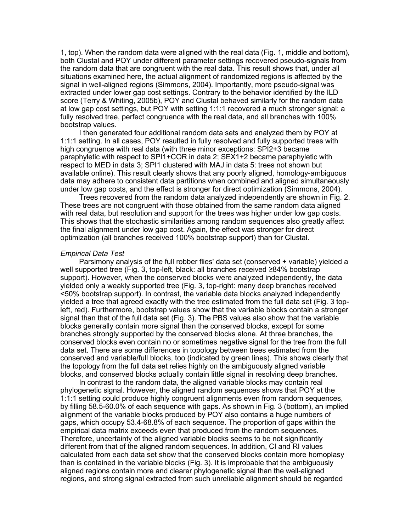1, top). When the random data were aligned with the real data (Fig. 1, middle and bottom), both Clustal and POY under different parameter settings recovered pseudo-signals from the random data that are congruent with the real data. This result shows that, under all situations examined here, the actual alignment of randomized regions is affected by the signal in well-aligned regions (Simmons, 2004). Importantly, more pseudo-signal was extracted under lower gap cost settings. Contrary to the behavior identified by the ILD score (Terry & Whiting, 2005b), POY and Clustal behaved similarly for the random data at low gap cost settings, but POY with setting 1:1:1 recovered a much stronger signal: a fully resolved tree, perfect congruence with the real data, and all branches with 100% bootstrap values.

I then generated four additional random data sets and analyzed them by POY at 1:1:1 setting. In all cases, POY resulted in fully resolved and fully supported trees with high congruence with real data (with three minor exceptions: SPI2+3 became paraphyletic with respect to SPI1+COR in data 2; SEX1+2 became paraphyletic with respect to MED in data 3; SPI1 clustered with MAJ in data 5: trees not shown but available online). This result clearly shows that any poorly aligned, homology-ambiguous data may adhere to consistent data partitions when combined and aligned simultaneously under low gap costs, and the effect is stronger for direct optimization (Simmons, 2004).

Trees recovered from the random data analyzed independently are shown in Fig. 2. These trees are not congruent with those obtained from the same random data aligned with real data, but resolution and support for the trees was higher under low gap costs. This shows that the stochastic similarities among random sequences also greatly affect the final alignment under low gap cost. Again, the effect was stronger for direct optimization (all branches received 100% bootstrap support) than for Clustal.

#### *Empirical Data Test*

Parsimony analysis of the full robber flies' data set (conserved + variable) yielded a well supported tree (Fig. 3, top-left, black: all branches received ≥84% bootstrap support). However, when the conserved blocks were analyzed independently, the data yielded only a weakly supported tree (Fig. 3, top-right: many deep branches received <50% bootstrap support). In contrast, the variable data blocks analyzed independently yielded a tree that agreed exactly with the tree estimated from the full data set (Fig. 3 topleft, red). Furthermore, bootstrap values show that the variable blocks contain a stronger signal than that of the full data set (Fig. 3). The PBS values also show that the variable blocks generally contain more signal than the conserved blocks, except for some branches strongly supported by the conserved blocks alone. At three branches, the conserved blocks even contain no or sometimes negative signal for the tree from the full data set. There are some differences in topology between trees estimated from the conserved and variable/full blocks, too (indicated by green lines). This shows clearly that the topology from the full data set relies highly on the ambiguously aligned variable blocks, and conserved blocks actually contain little signal in resolving deep branches.

In contrast to the random data, the aligned variable blocks may contain real phylogenetic signal. However, the aligned random sequences shows that POY at the 1:1:1 setting could produce highly congruent alignments even from random sequences, by filling 58.5-60.0% of each sequence with gaps. As shown in Fig. 3 (bottom), an implied alignment of the variable blocks produced by POY also contains a huge numbers of gaps, which occupy 53.4-68.8% of each sequence. The proportion of gaps within the empirical data matrix exceeds even that produced from the random sequences. Therefore, uncertainty of the aligned variable blocks seems to be not significantly different from that of the aligned random sequences. In addition, CI and RI values calculated from each data set show that the conserved blocks contain more homoplasy than is contained in the variable blocks (Fig. 3). It is improbable that the ambiguously aligned regions contain more and clearer phylogenetic signal than the well-aligned regions, and strong signal extracted from such unreliable alignment should be regarded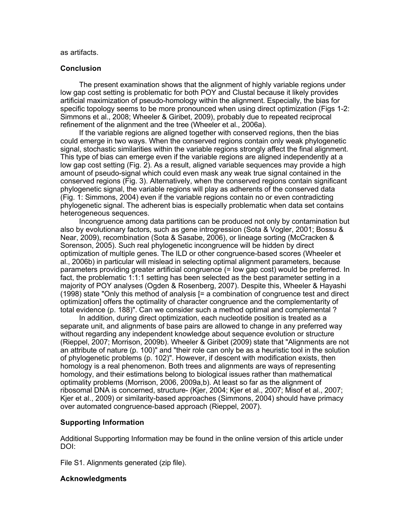as artifacts.

#### **Conclusion**

The present examination shows that the alignment of highly variable regions under low gap cost setting is problematic for both POY and Clustal because it likely provides artificial maximization of pseudo-homology within the alignment. Especially, the bias for specific topology seems to be more pronounced when using direct optimization (Figs 1-2: Simmons et al., 2008; Wheeler & Giribet, 2009), probably due to repeated reciprocal refinement of the alignment and the tree (Wheeler et al., 2006a).

If the variable regions are aligned together with conserved regions, then the bias could emerge in two ways. When the conserved regions contain only weak phylogenetic signal, stochastic similarities within the variable regions strongly affect the final alignment. This type of bias can emerge even if the variable regions are aligned independently at a low gap cost setting (Fig. 2). As a result, aligned variable sequences may provide a high amount of pseudo-signal which could even mask any weak true signal contained in the conserved regions (Fig. 3). Alternatively, when the conserved regions contain significant phylogenetic signal, the variable regions will play as adherents of the conserved data (Fig. 1: Simmons, 2004) even if the variable regions contain no or even contradicting phylogenetic signal. The adherent bias is especially problematic when data set contains heterogeneous sequences.

Incongruence among data partitions can be produced not only by contamination but also by evolutionary factors, such as gene introgression (Sota & Vogler, 2001; Bossu & Near, 2009), recombination (Sota & Sasabe, 2006), or lineage sorting (McCracken & Sorenson, 2005). Such real phylogenetic incongruence will be hidden by direct optimization of multiple genes. The ILD or other congruence-based scores (Wheeler et al., 2006b) in particular will mislead in selecting optimal alignment parameters, because parameters providing greater artificial congruence (= low gap cost) would be preferred. In fact, the problematic 1:1:1 setting has been selected as the best parameter setting in a majority of POY analyses (Ogden & Rosenberg, 2007). Despite this, Wheeler & Hayashi (1998) state "Only this method of analysis [= a combination of congruence test and direct optimization] offers the optimality of character congruence and the complementarity of total evidence (p. 188)". Can we consider such a method optimal and complemental ?

In addition, during direct optimization, each nucleotide position is treated as a separate unit, and alignments of base pairs are allowed to change in any preferred way without regarding any independent knowledge about sequence evolution or structure (Rieppel, 2007; Morrison, 2009b). Wheeler & Giribet (2009) state that "Alignments are not an attribute of nature (p. 100)" and "their role can only be as a heuristic tool in the solution of phylogenetic problems (p. 102)". However, if descent with modification exists, then homology is a real phenomenon. Both trees and alignments are ways of representing homology, and their estimations belong to biological issues rather than mathematical optimality problems (Morrison, 2006, 2009a,b). At least so far as the alignment of ribosomal DNA is concerned, structure- (Kjer, 2004; Kjer et al., 2007; Misof et al., 2007; Kjer et al., 2009) or similarity-based approaches (Simmons, 2004) should have primacy over automated congruence-based approach (Rieppel, 2007).

#### **Supporting Information**

Additional Supporting Information may be found in the online version of this article under DOI:

File S1. Alignments generated (zip file).

#### **Acknowledgments**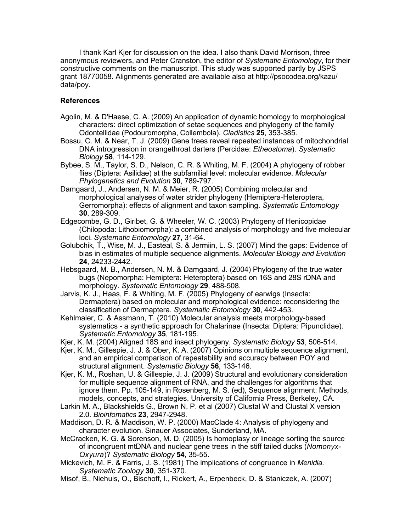I thank Karl Kjer for discussion on the idea. I also thank David Morrison, three anonymous reviewers, and Peter Cranston, the editor of *Systematic Entomology*, for their constructive comments on the manuscript*.* This study was supported partly by JSPS grant 18770058. Alignments generated are available also at http://psocodea.org/kazu/ data/poy.

## **References**

- Agolin, M. & D'Haese, C. A. (2009) An application of dynamic homology to morphological characters: direct optimization of setae sequences and phylogeny of the family Odontellidae (Podouromorpha, Collembola). *Cladistics* **25**, 353-385.
- Bossu, C. M. & Near, T. J. (2009) Gene trees reveal repeated instances of mitochondrial DNA introgression in orangethroat darters (Percidae: *Etheostoma*). *Systematic Biology* **58**, 114-129.
- Bybee, S. M., Taylor, S. D., Nelson, C. R. & Whiting, M. F. (2004) A phylogeny of robber flies (Diptera: Asilidae) at the subfamilial level: molecular evidence. *Molecular Phylogenetics and Evolution* **30**, 789-797.
- Damgaard, J., Andersen, N. M. & Meier, R. (2005) Combining molecular and morphological analyses of water strider phylogeny (Hemiptera-Heteroptera, Gerromorpha): effects of alignment and taxon sampling. *Systematic Entomology* **30**, 289-309.
- Edgecombe, G. D., Giribet, G. & Wheeler, W. C. (2003) Phylogeny of Henicopidae (Chilopoda: Lithobiomorpha): a combined analysis of morphology and five molecular loci. *Systematic Entomology* **27**, 31-64.
- Golubchik, T., Wise, M. J., Easteal, S. & Jermiin, L. S. (2007) Mind the gaps: Evidence of bias in estimates of multiple sequence alignments. *Molecular Biology and Evolution* **24**, 24233-2442.
- Hebsgaard, M. B., Andersen, N. M. & Damgaard, J. (2004) Phylogeny of the true water bugs (Nepomorpha: Hemiptera: Heteroptera) based on 16S and 28S rDNA and morphology. *Systematic Entomology* **29**, 488-508.
- Jarvis, K. J., Haas, F. & Whiting, M. F. (2005) Phylogeny of earwigs (Insecta: Dermaptera) based on molecular and morphological evidence: reconsidering the classification of Dermaptera. *Systematic Entomology* **30**, 442-453.
- Kehlmaier, C. & Assmann, T. (2010) Molecular analysis meets morphology-based systematics - a synthetic approach for Chalarinae (Insecta: Diptera: Pipunclidae). *Systematic Entomology* **35**, 181-195.
- Kjer, K. M. (2004) Aligned 18S and insect phylogeny. *Systematic Biology* **53**, 506-514.
- Kjer, K. M., Gillespie, J. J. & Ober, K. A. (2007) Opinions on multiple sequence alignment, and an empirical comparison of repeatability and accuracy between POY and structural alignment. *Systematic Biology* **56**, 133-146.
- Kjer, K. M., Roshan, U. & Gillespie, J. J. (2009) Structural and evolutionary consideration for multiple sequence alignment of RNA, and the challenges for algorithms that ignore them. Pp. 105-149, in Rosenberg, M. S. (ed), Sequence alignment: Methods, models, concepts, and strategies. University of California Press, Berkeley, CA.
- Larkin M. A., Blackshields G., Brown N. P. et al (2007) Clustal W and Clustal X version 2.0. *Bioinfomatics* **23**, 2947-2948.
- Maddison, D. R. & Maddison, W. P. (2000) MacClade 4: Analysis of phylogeny and character evolution. Sinauer Associates, Sunderland, MA.
- McCracken, K. G. & Sorenson, M. D. (2005) Is homoplasy or lineage sorting the source of incongruent mtDNA and nuclear gene trees in the stiff tailed ducks (*Nomonyx-Oxyura*)? *Systematic Biology* **54**, 35-55.
- Mickevich, M. F. & Farris, J. S. (1981) The implications of congruence in *Menidia*. *Systematic Zoology* **30**, 351-370.
- Misof, B., Niehuis, O., Bischoff, I., Rickert, A., Erpenbeck, D. & Staniczek, A. (2007)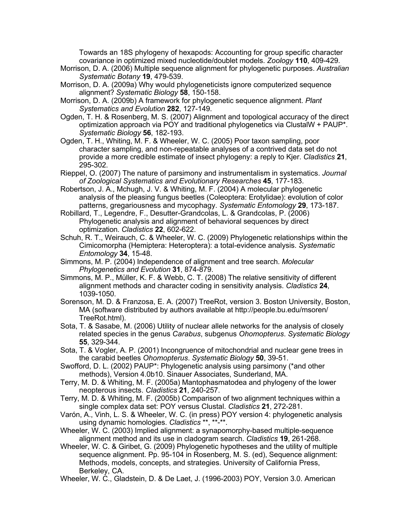Towards an 18S phylogeny of hexapods: Accounting for group specific character covariance in optimized mixed nucleotide/doublet models. *Zoology* **110**, 409-429.

- Morrison, D. A. (2006) Multiple sequence alignment for phylogenetic purposes. *Australian Systematic Botany* **19**, 479-539.
- Morrison, D. A. (2009a) Why would phylogeneticists ignore computerized sequence alignment? *Systematic Biology* **58**, 150-158.
- Morrison, D. A. (2009b) A framework for phylogenetic sequence alignment. *Plant Systematics and Evolution* **282**, 127-149.
- Ogden, T. H. & Rosenberg, M. S. (2007) Alignment and topological accuracy of the direct optimization approach via POY and traditional phylogenetics via ClustalW + PAUP\*. *Systematic Biology* **56**, 182-193.
- Ogden, T. H., Whiting, M. F. & Wheeler, W. C. (2005) Poor taxon sampling, poor character sampling, and non-repeatable analyses of a contrived data set do not provide a more credible estimate of insect phylogeny: a reply to Kjer. *Cladistics* **21**, 295-302.
- Rieppel, O. (2007) The nature of parsimony and instrumentalism in systematics. *Journal of Zoological Systematics and Evolutionary Researches* **45**, 177-183.
- Robertson, J. A., Mchugh, J. V. & Whiting, M. F. (2004) A molecular phylogenetic analysis of the pleasing fungus beetles (Coleoptera: Erotylidae): evolution of color patterns, gregariousness and mycophagy. *Systematic Entomology* **29**, 173-187.
- Robillard, T., Legendre, F., Desutter-Grandcolas, L. & Grandcolas, P. (2006) Phylogenetic analysis and alignment of behavioral sequences by direct optimization. *Cladistics* **22**, 602-622.
- Schuh, R. T., Weirauch, C. & Wheeler, W. C. (2009) Phylogenetic relationships within the Cimicomorpha (Hemiptera: Heteroptera): a total-evidence analysis. *Systematic Entomology* **34**, 15-48.
- Simmons, M. P. (2004) Independence of alignment and tree search. *Molecular Phylogenetics and Evolution* **31**, 874-879.
- Simmons, M. P., Müller, K. F. & Webb, C. T. (2008) The relative sensitivity of different alignment methods and character coding in sensitivity analysis. *Cladistics* **24**, 1039-1050.
- Sorenson, M. D. & Franzosa, E. A. (2007) TreeRot, version 3. Boston University, Boston, MA (software distributed by authors available at http://people.bu.edu/msoren/ TreeRot.html).
- Sota, T. & Sasabe, M. (2006) Utility of nuclear allele networks for the analysis of closely related species in the genus *Carabus*, subgenus *Ohomopterus*. *Systematic Biology* **55**, 329-344.
- Sota, T. & Vogler, A. P. (2001) Incongruence of mitochondrial and nuclear gene trees in the carabid beetles *Ohomopterus*. *Systematic Biology* **50**, 39-51.
- Swofford, D. L. (2002) PAUP\*: Phylogenetic analysis using parsimony (\*and other methods), Version 4.0b10. Sinauer Associates, Sunderland, MA.
- Terry, M. D. & Whiting, M. F. (2005a) Mantophasmatodea and phylogeny of the lower neopterous insects. *Cladistics* **21**, 240-257.
- Terry, M. D. & Whiting, M. F. (2005b) Comparison of two alignment techniques within a single complex data set: POY versus Clustal. *Cladistics* **21**, 272-281.
- Varón, A., Vinh, L. S. & Wheeler, W. C. (in press) POY version 4: phylogenetic analysis using dynamic homologies. *Cladistics* \*\*, \*\*-\*\*.
- Wheeler, W. C. (2003) Implied alignment: a synapomorphy-based multiple-sequence alignment method and its use in cladogram search. *Cladistics* **19**, 261-268.
- Wheeler, W. C. & Giribet, G. (2009) Phylogenetic hypotheses and the utility of multiple sequence alignment. Pp. 95-104 in Rosenberg, M. S. (ed), Sequence alignment: Methods, models, concepts, and strategies. University of California Press, Berkeley, CA.
- Wheeler, W. C., Gladstein, D. & De Laet, J. (1996-2003) POY, Version 3.0. American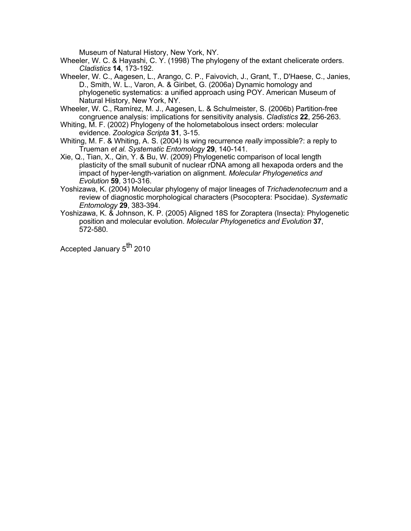Museum of Natural History, New York, NY.

Wheeler, W. C. & Hayashi, C. Y. (1998) The phylogeny of the extant chelicerate orders. *Cladistics* **14**, 173-192.

- Wheeler, W. C., Aagesen, L., Arango, C. P., Faivovich, J., Grant, T., D'Haese, C., Janies, D., Smith, W. L., Varon, A. & Giribet, G. (2006a) Dynamic homology and phylogenetic systematics: a unified approach using POY. American Museum of Natural History, New York, NY.
- Wheeler, W. C., Ramírez, M. J., Aagesen, L. & Schulmeister, S. (2006b) Partition-free congruence analysis: implications for sensitivity analysis. *Cladistics* **22**, 256-263.
- Whiting, M. F. (2002) Phylogeny of the holometabolous insect orders: molecular evidence. *Zoologica Scripta* **31**, 3-15.
- Whiting, M. F. & Whiting, A. S. (2004) Is wing recurrence *really* impossible?: a reply to Trueman *et al. Systematic Entomology* **29**, 140-141.
- Xie, Q., Tian, X., Qin, Y. & Bu, W. (2009) Phylogenetic comparison of local length plasticity of the small subunit of nuclear rDNA among all hexapoda orders and the impact of hyper-length-variation on alignment. *Molecular Phylogenetics and Evolution* **59**, 310-316.
- Yoshizawa, K. (2004) Molecular phylogeny of major lineages of *Trichadenotecnum* and a review of diagnostic morphological characters (Psocoptera: Psocidae). *Systematic Entomology* **29**, 383-394.
- Yoshizawa, K. & Johnson, K. P. (2005) Aligned 18S for Zoraptera (Insecta): Phylogenetic position and molecular evolution. *Molecular Phylogenetics and Evolution* **37**, 572-580.

Accepted January 5<sup>th</sup> 2010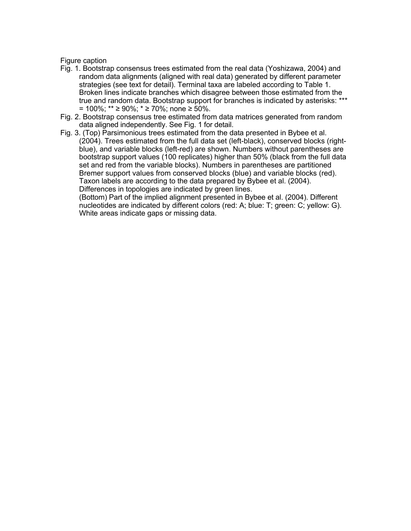### Figure caption

- Fig. 1. Bootstrap consensus trees estimated from the real data (Yoshizawa, 2004) and random data alignments (aligned with real data) generated by different parameter strategies (see text for detail). Terminal taxa are labeled according to Table 1. Broken lines indicate branches which disagree between those estimated from the true and random data. Bootstrap support for branches is indicated by asterisks: \*\*\* = 100%; \*\* ≥ 90%; \* ≥ 70%; none ≥ 50%.
- Fig. 2. Bootstrap consensus tree estimated from data matrices generated from random data aligned independently. See Fig. 1 for detail.
- Fig. 3. (Top) Parsimonious trees estimated from the data presented in Bybee et al. (2004). Trees estimated from the full data set (left-black), conserved blocks (rightblue), and variable blocks (left-red) are shown. Numbers without parentheses are bootstrap support values (100 replicates) higher than 50% (black from the full data set and red from the variable blocks). Numbers in parentheses are partitioned Bremer support values from conserved blocks (blue) and variable blocks (red). Taxon labels are according to the data prepared by Bybee et al. (2004). Differences in topologies are indicated by green lines.

(Bottom) Part of the implied alignment presented in Bybee et al. (2004). Different nucleotides are indicated by different colors (red: A; blue: T; green: C; yellow: G). White areas indicate gaps or missing data.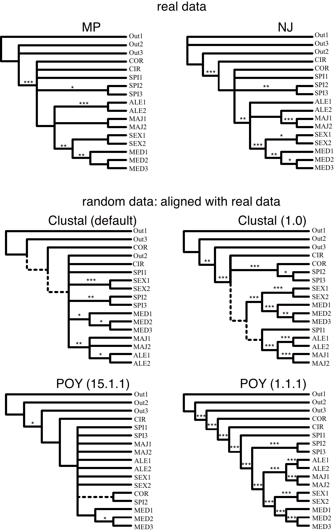# real data





random data: aligned with real data

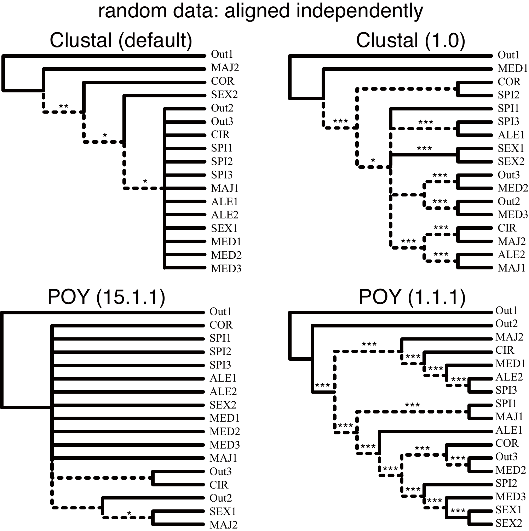random data: aligned independently